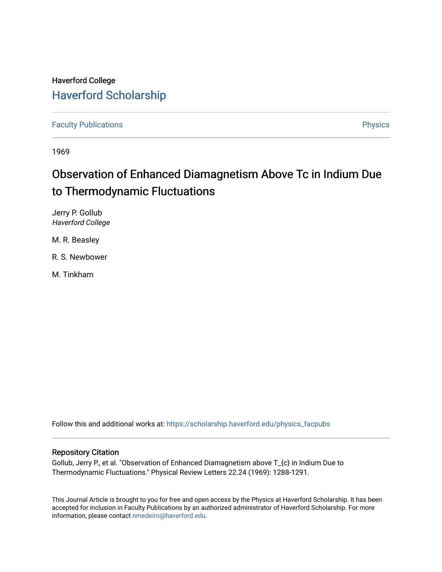## Haverford College [Haverford Scholarship](https://scholarship.haverford.edu/)

[Faculty Publications](https://scholarship.haverford.edu/physics_facpubs) **Physics** 

1969

## Observation of Enhanced Diamagnetism Above Tc in Indium Due to Thermodynamic Fluctuations

Jerry P. Gollub Haverford College

M. R. Beasley

R. S. Newbower

M. Tinkham

Follow this and additional works at: [https://scholarship.haverford.edu/physics\\_facpubs](https://scholarship.haverford.edu/physics_facpubs?utm_source=scholarship.haverford.edu%2Fphysics_facpubs%2F246&utm_medium=PDF&utm_campaign=PDFCoverPages) 

## Repository Citation

Gollub, Jerry P., et al. "Observation of Enhanced Diamagnetism above T\_{c} in Indium Due to Thermodynamic Fluctuations." Physical Review Letters 22.24 (1969): 1288-1291.

This Journal Article is brought to you for free and open access by the Physics at Haverford Scholarship. It has been accepted for inclusion in Faculty Publications by an authorized administrator of Haverford Scholarship. For more information, please contact [nmedeiro@haverford.edu.](mailto:nmedeiro@haverford.edu)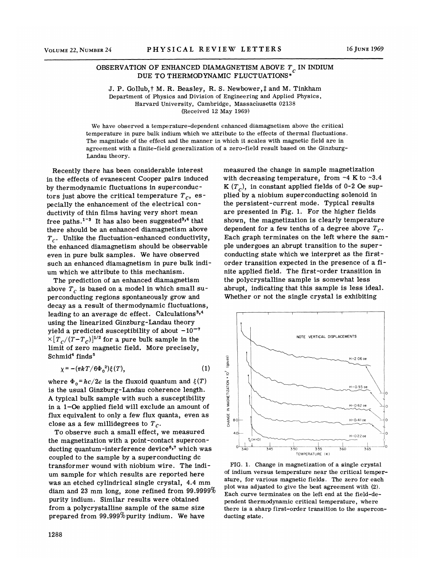## OBSERVATION OF ENHANCED DIAMAGNETISM ABOVE  $T_c$  in INDIUM DUE TO THERMODYNAMIC FLUCTUATIONS\*

J. P. Gollub, † M. R. Beasley, R. S. Newbower,  $\ddagger$  and M. Tinkham Department of Physics and Division of Engineering and Applied Physics, Harvard University, Cambridge, Massachusetts 02138 (Received 12 May 1969)

We have observed a temperature-dependent enhanced diamagnetism above the critical temperature in pure bulk indium which we attribute to the effects of thermal fluctuations. The magnitude of the effect and the manner in which it scales with magnetic field are in agreement with a finite-field generalization of a zero-field result based on the Ginzburg-Landau theory.

Recently there has been considerable interest in the effects of evanescent Cooper pairs induced by thermodynamic fluctuations in superconductors just above the critical temperature  $T_c$ , especially the enhancement of the electrical conductivity of thin films having very short mean ductivity of the finite nating very short mean there should be an enhanced diamagnetism above  $T_{c}$ . Unlike the fluctuation-enhanced conductivity, the enhanced diamagnetism should be observable even in pure bulk samples. We have observed such an enhanced diamagnetism in pure bulk indium which we attribute to this mechanism.

The prediction of an enhanced diamagnetism above  $T_c$  is based on a model in which small superconducting regions spontaneously grow and decay as a result of thermodynamic fluctuations, leading to an average dc effect. Calculations $3,4$ using the linearized Ginzburg-Landau theory yield a predicted susceptibility of about  $-10^{-7}$  $\times [T_c/(T-T_c)]^{1/2}$  for a pure bulk sample in the limit of zero magnetic field. More precisely,  $Schmid<sup>4</sup> finds<sup>5</sup>$ 

$$
\chi = -(\pi k T/6\Phi_0^2)\xi(T),\tag{1}
$$

where  $\Phi_0 = hc/2e$  is the fluxoid quantum and  $\xi(T)$ is the usual Ginzburg-Landau coherence length. A typical bulk sample with such a susceptibility in a 1-Oe applied field will exclude an amount of flux equivalent to only a few flux quanta, even as close as a few millidegrees to  $T_c$ .

To observe such a small effect, we measured the magnetization with a point-contact superconducting quantum-interference device<sup>6,7</sup> which was coupled to the sample by a superconducting dc transformer wound with niobium wire. The indium sample for which results are reported here was an etched cylindrical single crystal, 4.4 mm diam and 23 mm long, zone refined from 99.9999% purity indium. Similar results were obtained from a polycrystalline sample of the same size prepared from  $99.999\%$  purity indium. We have

measured the change in sample magnetization with decreasing temperature, from  $-4$  K to  $-3.4$ K  $(T_c)$ , in constant applied fields of 0-2 Oe supplied by a niobium superconducting solenoid in the persistent-current mode. Typical results are presented in Fig. 1. For the higher fields shown, the magnetization is clearly temperature dependent for a few tenths of a degree above  $T_c$ . Each graph terminates on the left where the sample undergoes an abrupt transition to the superconducting state which we interpret as the firstorder transition expected in the presence of a finite applied field. The first-order transition in the polycrystalline sample is somewhat less abrupt, indicating that this sample is less ideal. Whether or not the single crystal is exhibiting



FIG. 1. Change in magnetization of a single crystal of indium versus temperature near the critical temperature, for various magnetic fields. The zero for each plot was adjusted to give the best agreement with (2). Each curve terminates on the left end at the field-dependent thermodynamic critical temperature, where there is a sharp first-order transition to the superconducting state.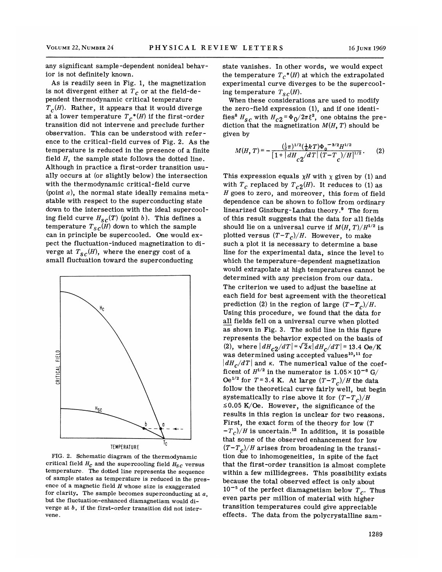any significant sample-dependent nonideal behavior is not definitely known.

As is readily seen in Fig. 1, the magnetization is not divergent either at  $T_c$  or at the field-dependent thermodynamic critical temperature  $T_c(H)$ . Rather, it appears that it would diverge at a lower temperature  $T_c^*(H)$  if the first-order transition did not intervene and preclude further observation. This can be understood with reference to the critical-field curves of Fig. 2. As the temperature is reduced in the presence of a finite field  $H$ , the sample state follows the dotted line. Although in practice a first-order transition usually occurs at (or slightly below) the intersection with the thermodynamic critical-field curve (point  $a$ ), the normal state ideally remains metastable with respect to the superconducting state down to the intersection with the ideal supercooling field curve  $H_{\mathcal{S}C}(T)$  (point b). This defines a temperature  $T_{sc}(H)$  down to which the sample can in principle be supercooled. One would expect the fluctuation-induced magnetization to diverge at  $T_{sc}(H)$ , where the energy cost of a small fluctuation toward the superconducting



FIG. 2. Schematic diagram of the thermodynamic critical field  $H_c$  and the supercooling field  $H_{sc}$  versus temperature. The dotted line represents the sequence of sample states as temperature is reduced in the presence of a magnetic field  $H$  whose size is exaggerated for clarity. The sample becomes superconducting at  $a$ , but the fluctuation-enhanced diamagnetism would diverge at b, if the first-order transition did not intervene.

state vanishes. In other words, we would expect the temperature  $T_c^*(H)$  at which the extrapolated experimental curve diverges to be the supercooling temperature  $T_{sc}(H)$ .

When these considerations are used to modify the zero-field expression (1), and if one identifies<sup>8</sup>  $H_{SC}$  with  $H_{c2}$ = $\Phi_0/2\pi\xi^2$ , one obtains the prediction that the magnetization  $M(H,\,T)$  should be given by

$$
M(H, T) = -\frac{\left(\frac{1}{2}\pi\right)^{1/2}\left(\frac{1}{6}kT\right)\Phi_0^{-3/2}H^{1/2}}{\left[1 + \left|\frac{dH}{dH}\right|_{C}2\right/\frac{d}{d}T\left|\frac{(T-T_c)}{(T-t_c)}\right/\frac{H}{d}}.\tag{2}
$$

This expression equals  $\chi H$  with  $\chi$  given by (1) and with  $T_c$  replaced by  $T_{c2}(H)$ . It reduces to (1) as H goes to zero, and moreover, this form of field dependence can be shown to follow from ordinary linearized Ginzburg-Landau theory.<sup>9</sup> The form of this result suggests that the data for all fields should lie on a universal curve if  $M(H, T)/H^{1/2}$  is plotted versus  $(T - T_c)/H$ . However, to make such a plot it is necessary to determine a base line for the experimental data, since the level to which the temperature-dependent magnetization would extrapolate at high temperatures cannot be determined with any precision from our data. The criterion we used to adjust the baseline at each field for best agreement with the theoretical prediction (2) in the region of large  $(T-T_c)/H$ . Using this procedure, we found that the data for all fields fell on a universal curve when plotted as shown in Fig. 3. The solid line in this figure represents the behavior expected on the basis of (2), where  $\left| dH_{c2}/dT \right| = \sqrt{2} \kappa \left| dH_{c}/dT \right| = 13.4 \text{ Oe/K}$ was determined using accepted values<sup>10,11</sup> for  $\left| dH_c/dT \right|$  and  $\kappa$ . The numerical value of the coefficent of  $H^{1/2}$  in the numerator is  $1.05 \times 10^{-6}$  G/ Oe<sup>1/2</sup> for  $T=3.4$  K. At large  $(T-T_c)/H$  the data follow the theoretical curve fairly well, but begin systematically to rise above it for  $(T-T_c)/H$  $\leq 0.05$  K/Oe. However, the significance of the results in this region is unclear for two reasons. First, the exact form of the theory for low  $(T)$ First, the exact form of the theory for low  $(T - T_c)/H$  is uncertain.<sup>12</sup> In addition, it is possible that some of the observed enhancement for low  $(T-T_c)/H$  arises from broadening in the transition due to inhomogeneities, in spite of the fact that the first-order transition is almost complete within a few millidegrees. This possibility exists because the total observed effect is only about  $10^{-5}$  of the perfect diamagnetism below  $T_c$ . Thus even parts per million of material with higher transition temperatures could give appreciable effects. The data from the polycrystalline sam-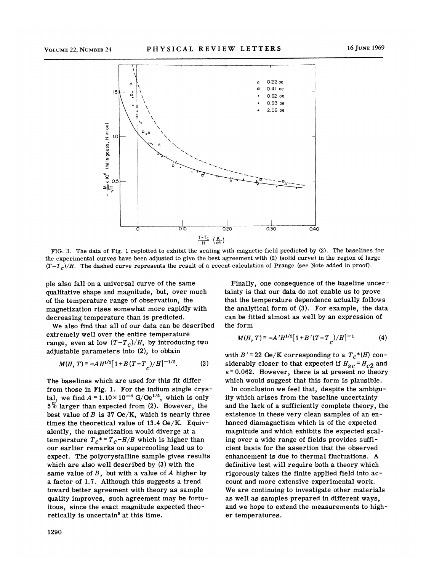

FIG. 3. The data of Fig. 1 replotted to exhibit the scaling with magnetic field predicted by (2). The baselines for the experimental curves have been adjusted to give the best agreement with (2) (solid curve) in the region of large  $(T-T_c)/H$ . The dashed curve represents the result of a recent calculation of Prange (see Note added in proof).

pie also fall on a universal curve of the same qualitative shape and magnitude, but, over much of the temperature range of observation, the magnetization rises somewhat more rapidly with decreasing temperature than is predicted.

We also find that all of our data can be described extremely well over the entire temperature range, even at low  $(T-T_c)/H$ , by introducing two adjustable parameters into (2), to obtain

$$
M(H, T) = -AH^{1/2}[1 + B(T - T_{C})/H]^{-1/2}.
$$
 (3)

The baselines which are used for this fit differ from those in Fig. 1. For the indium single crystal, we find  $A = 1.10 \times 10^{-6}$  G/Oe<sup>1/2</sup>, which is only 5% larger than expected from (2). However, the best value of  $B$  is 37 Oe/K, which is nearly three times the theoretical value of 13.4 Oe/K. Equivalently, the magnetization would diverge at a temperature  $T_c^* = T_c - H/B$  which is higher than our earlier remarks on supercooling lead us to expect. The polycrystalline sample gives results which are also well described by (3) with the same value of  $B$ , but with a value of  $A$  higher by a factor of 1.7. Although this suggests a trend toward better agreement with theory as sample quality improves, such agreement may be fortuitous, since the exact magnitude expected theoretically is uncertain<sup>5</sup> at this time.

Finally, one consequence of the baseline uncertainty is that our data do not enable us to prove that the temperature dependence actually follows the analytical form of (3). For example, the data can be fitted almost as well by an expression of the form

$$
M(H, T) = -A'H^{1/2}[1 + B'(T - T_{C})/H]^{-1}
$$
 (4)

with  $B' = 22 \text{ Oe/K}$  corresponding to a  $T_c^*(H)$  considerably closer to that expected if  $H_{sc}$  =  $H_{c2}$  and  $\kappa$  = 0.062. However, there is at present no theory which would suggest that this form is plausible.

In conclusion we feel that, despite the ambiguity which arises from the baseline uncertainty and the lack of a sufficiently complete theory, the existence in these very clean samples of an enhanced diamagnetism which is of the expected magnitude and which exhibits the expected scaling over a wide range of fields provides sufficient basis for the assertion that the observed enhancement is due to thermal fluctuations. A definitive test will require both a theory which rigorously takes the finite applied field into account and more extensive experimental work. We are continuing to investigate other materials as well as samples prepared in different ways, and we hope to extend the measurements to higher temperatures.